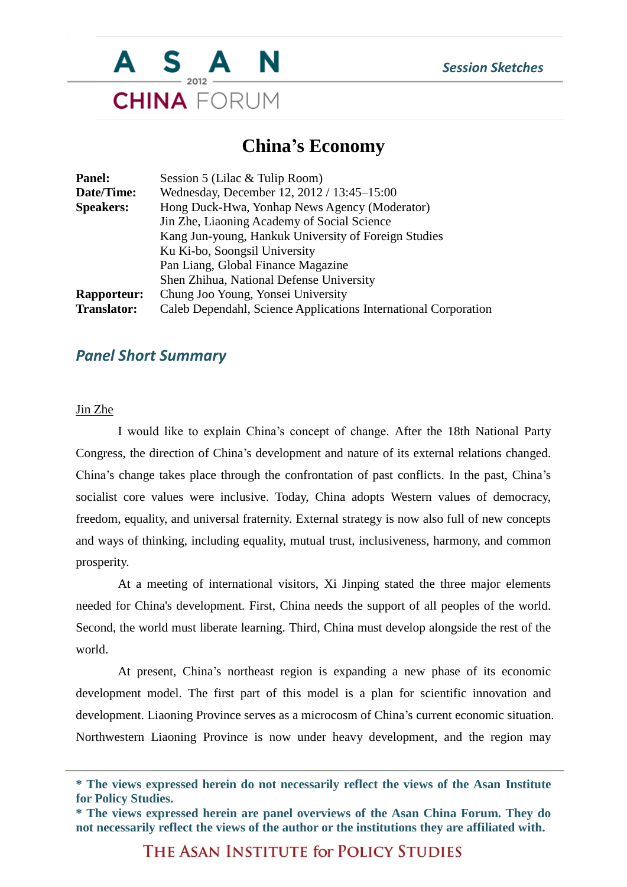

### **China's Economy**

| Hong Duck-Hwa, Yonhap News Agency (Moderator)        |                                                                 |
|------------------------------------------------------|-----------------------------------------------------------------|
|                                                      |                                                                 |
| Kang Jun-young, Hankuk University of Foreign Studies |                                                                 |
|                                                      |                                                                 |
|                                                      |                                                                 |
|                                                      | Caleb Dependahl, Science Applications International Corporation |
|                                                      |                                                                 |

### *Panel Short Summary*

#### Jin Zhe

I would like to explain China's concept of change. After the 18th National Party Congress, the direction of China's development and nature of its external relations changed. China's change takes place through the confrontation of past conflicts. In the past, China's socialist core values were inclusive. Today, China adopts Western values of democracy, freedom, equality, and universal fraternity. External strategy is now also full of new concepts and ways of thinking, including equality, mutual trust, inclusiveness, harmony, and common prosperity.

At a meeting of international visitors, Xi Jinping stated the three major elements needed for China's development. First, China needs the support of all peoples of the world. Second, the world must liberate learning. Third, China must develop alongside the rest of the world.

At present, China's northeast region is expanding a new phase of its economic development model. The first part of this model is a plan for scientific innovation and development. Liaoning Province serves as a microcosm of China's current economic situation. Northwestern Liaoning Province is now under heavy development, and the region may

THE ASAN INSTITUTE for POLICY STUDIES

**<sup>\*</sup> The views expressed herein do not necessarily reflect the views of the Asan Institute for Policy Studies.**

**<sup>\*</sup> The views expressed herein are panel overviews of the Asan China Forum. They do not necessarily reflect the views of the author or the institutions they are affiliated with.**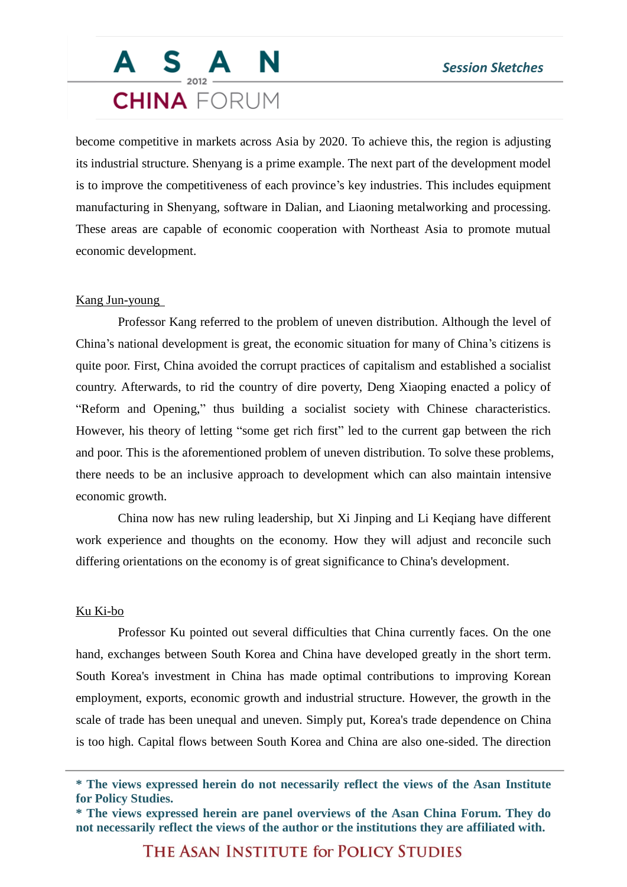# S A N **CHINA** FORUM

become competitive in markets across Asia by 2020. To achieve this, the region is adjusting its industrial structure. Shenyang is a prime example. The next part of the development model is to improve the competitiveness of each province's key industries. This includes equipment manufacturing in Shenyang, software in Dalian, and Liaoning metalworking and processing. These areas are capable of economic cooperation with Northeast Asia to promote mutual economic development.

#### Kang Jun-young

Professor Kang referred to the problem of uneven distribution. Although the level of China's national development is great, the economic situation for many of China's citizens is quite poor. First, China avoided the corrupt practices of capitalism and established a socialist country. Afterwards, to rid the country of dire poverty, Deng Xiaoping enacted a policy of "Reform and Opening," thus building a socialist society with Chinese characteristics. However, his theory of letting "some get rich first" led to the current gap between the rich and poor. This is the aforementioned problem of uneven distribution. To solve these problems, there needs to be an inclusive approach to development which can also maintain intensive economic growth.

China now has new ruling leadership, but Xi Jinping and Li Keqiang have different work experience and thoughts on the economy. How they will adjust and reconcile such differing orientations on the economy is of great significance to China's development.

#### Ku Ki-bo

Professor Ku pointed out several difficulties that China currently faces. On the one hand, exchanges between South Korea and China have developed greatly in the short term. South Korea's investment in China has made optimal contributions to improving Korean employment, exports, economic growth and industrial structure. However, the growth in the scale of trade has been unequal and uneven. Simply put, Korea's trade dependence on China is too high. Capital flows between South Korea and China are also one-sided. The direction

THE ASAN INSTITUTE for POLICY STUDIES

**<sup>\*</sup> The views expressed herein do not necessarily reflect the views of the Asan Institute for Policy Studies.**

**<sup>\*</sup> The views expressed herein are panel overviews of the Asan China Forum. They do not necessarily reflect the views of the author or the institutions they are affiliated with.**